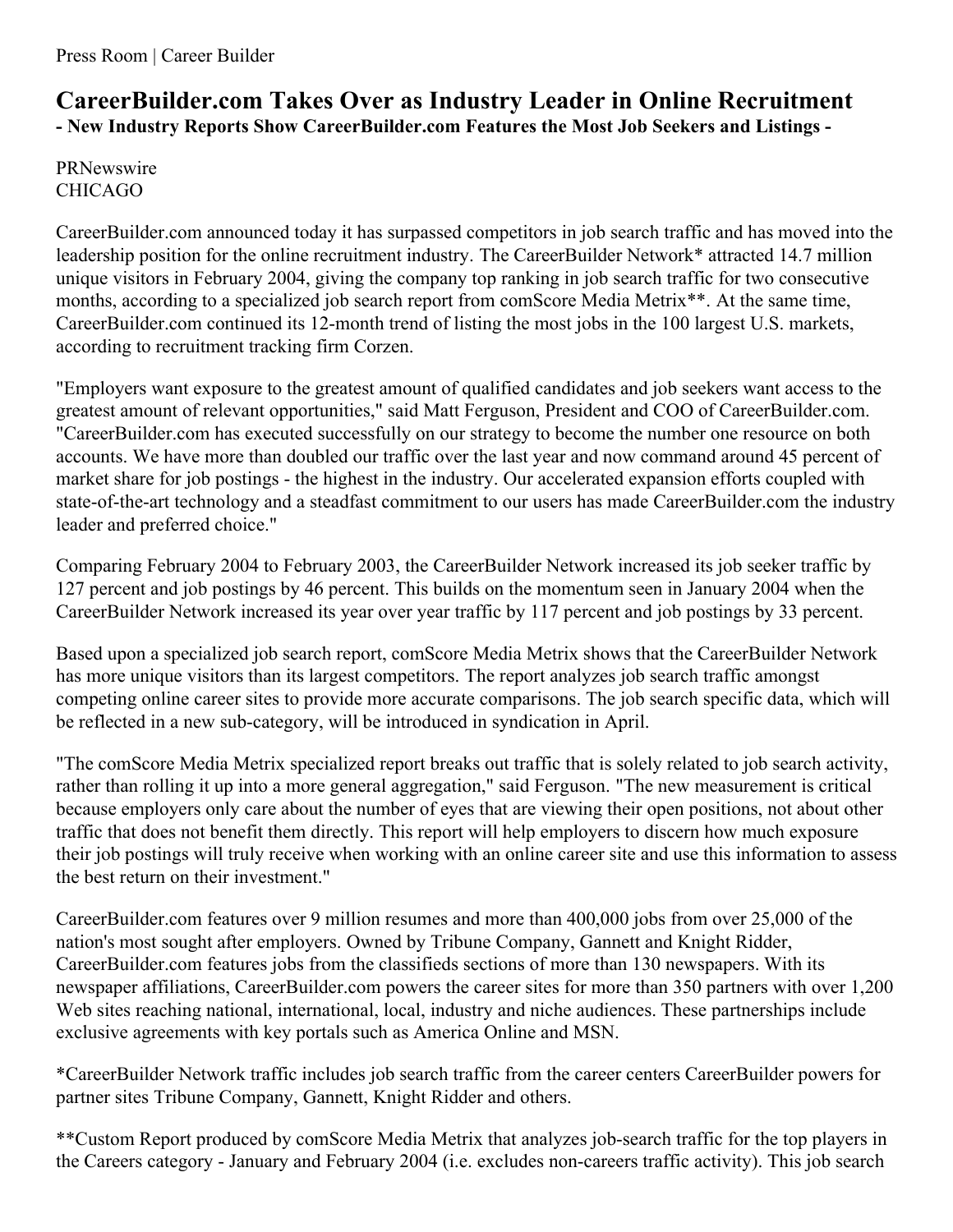## **CareerBuilder.com Takes Over as Industry Leader in Online Recruitment - New Industry Reports Show CareerBuilder.com Features the Most Job Seekers and Listings -**

PRNewswire CHICAGO

CareerBuilder.com announced today it has surpassed competitors in job search traffic and has moved into the leadership position for the online recruitment industry. The CareerBuilder Network\* attracted 14.7 million unique visitors in February 2004, giving the company top ranking in job search traffic for two consecutive months, according to a specialized job search report from comScore Media Metrix<sup>\*\*</sup>. At the same time, CareerBuilder.com continued its 12-month trend of listing the most jobs in the 100 largest U.S. markets, according to recruitment tracking firm Corzen.

"Employers want exposure to the greatest amount of qualified candidates and job seekers want access to the greatest amount of relevant opportunities," said Matt Ferguson, President and COO of CareerBuilder.com. "CareerBuilder.com has executed successfully on our strategy to become the number one resource on both accounts. We have more than doubled our traffic over the last year and now command around 45 percent of market share for job postings - the highest in the industry. Our accelerated expansion efforts coupled with state-of-the-art technology and a steadfast commitment to our users has made CareerBuilder.com the industry leader and preferred choice."

Comparing February 2004 to February 2003, the CareerBuilder Network increased its job seeker traffic by 127 percent and job postings by 46 percent. This builds on the momentum seen in January 2004 when the CareerBuilder Network increased its year over year traffic by 117 percent and job postings by 33 percent.

Based upon a specialized job search report, comScore Media Metrix shows that the CareerBuilder Network has more unique visitors than its largest competitors. The report analyzes job search traffic amongst competing online career sites to provide more accurate comparisons. The job search specific data, which will be reflected in a new sub-category, will be introduced in syndication in April.

"The comScore Media Metrix specialized report breaks out traffic that is solely related to job search activity, rather than rolling it up into a more general aggregation," said Ferguson. "The new measurement is critical because employers only care about the number of eyes that are viewing their open positions, not about other traffic that does not benefit them directly. This report will help employers to discern how much exposure their job postings will truly receive when working with an online career site and use this information to assess the best return on their investment."

CareerBuilder.com features over 9 million resumes and more than 400,000 jobs from over 25,000 of the nation's most sought after employers. Owned by Tribune Company, Gannett and Knight Ridder, CareerBuilder.com features jobs from the classifieds sections of more than 130 newspapers. With its newspaper affiliations, CareerBuilder.com powers the career sites for more than 350 partners with over 1,200 Web sites reaching national, international, local, industry and niche audiences. These partnerships include exclusive agreements with key portals such as America Online and MSN.

\*CareerBuilder Network traffic includes job search traffic from the career centers CareerBuilder powers for partner sites Tribune Company, Gannett, Knight Ridder and others.

\*\*Custom Report produced by comScore Media Metrix that analyzes job-search traffic for the top players in the Careers category - January and February 2004 (i.e. excludes non-careers traffic activity). This job search